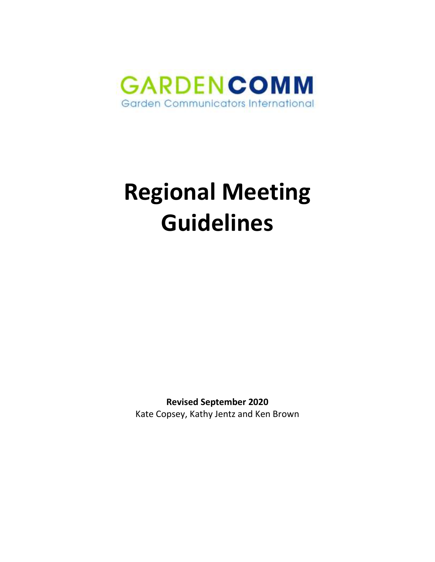

**Revised September 2020** Kate Copsey, Kathy Jentz and Ken Brown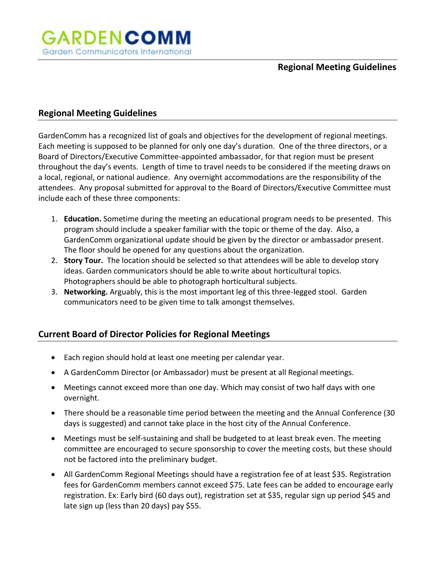## **Regional Meeting Guidelines**

GardenComm has a recognized list of goals and objectives for the development of regional meetings. Each meeting is supposed to be planned for only one day's duration. One of the three directors, or a Board of Directors/Executive Committee-appointed ambassador, for that region must be present throughout the day's events. Length of time to travel needs to be considered if the meeting draws on a local, regional, or national audience. Any overnight accommodations are the responsibility of the attendees. Any proposal submitted for approval to the Board of Directors/Executive Committee must include each of these three components:

- 1. **Education.** Sometime during the meeting an educational program needs to be presented. This program should include a speaker familiar with the topic or theme of the day. Also, a GardenComm organizational update should be given by the director or ambassador present. The floor should be opened for any questions about the organization.
- 2. **Story Tour.** The location should be selected so that attendees will be able to develop story ideas. Garden communicators should be able to write about horticultural topics. Photographers should be able to photograph horticultural subjects.
- 3. **Networking.** Arguably, this is the most important leg of this three-legged stool. Garden communicators need to be given time to talk amongst themselves.

## **Current Board of Director Policies for Regional Meetings**

- Each region should hold at least one meeting per calendar year.
- A GardenComm Director (or Ambassador) must be present at all Regional meetings.
- Meetings cannot exceed more than one day. Which may consist of two half days with one overnight.
- There should be a reasonable time period between the meeting and the Annual Conference (30 days is suggested) and cannot take place in the host city of the Annual Conference.
- Meetings must be self-sustaining and shall be budgeted to at least break even. The meeting committee are encouraged to secure sponsorship to cover the meeting costs, but these should not be factored into the preliminary budget.
- All GardenComm Regional Meetings should have a registration fee of at least \$35. Registration fees for GardenComm members cannot exceed \$75. Late fees can be added to encourage early registration. Ex: Early bird (60 days out), registration set at \$35, regular sign up period \$45 and late sign up (less than 20 days) pay \$55.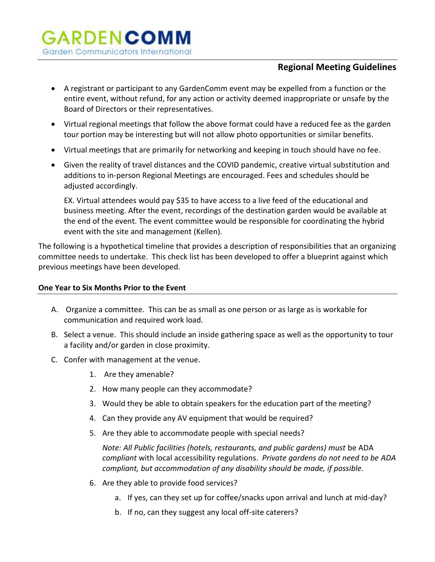- A registrant or participant to any GardenComm event may be expelled from a function or the entire event, without refund, for any action or activity deemed inappropriate or unsafe by the Board of Directors or their representatives.
- Virtual regional meetings that follow the above format could have a reduced fee as the garden tour portion may be interesting but will not allow photo opportunities or similar benefits.
- Virtual meetings that are primarily for networking and keeping in touch should have no fee.
- Given the reality of travel distances and the COVID pandemic, creative virtual substitution and additions to in-person Regional Meetings are encouraged. Fees and schedules should be adjusted accordingly.

EX. Virtual attendees would pay \$35 to have access to a live feed of the educational and business meeting. After the event, recordings of the destination garden would be available at the end of the event. The event committee would be responsible for coordinating the hybrid event with the site and management (Kellen).

The following is a hypothetical timeline that provides a description of responsibilities that an organizing committee needs to undertake. This check list has been developed to offer a blueprint against which previous meetings have been developed.

#### **One Year to Six Months Prior to the Event**

- A. Organize a committee. This can be as small as one person or as large as is workable for communication and required work load.
- B. Select a venue. This should include an inside gathering space as well as the opportunity to tour a facility and/or garden in close proximity.
- C. Confer with management at the venue.
	- 1. Are they amenable?
	- 2. How many people can they accommodate?
	- 3. Would they be able to obtain speakers for the education part of the meeting?
	- 4. Can they provide any AV equipment that would be required?
	- 5. Are they able to accommodate people with special needs?

*Note: All Public facilities (hotels, restaurants, and public gardens) must* be ADA *compliant* with local accessibility regulations. *Private gardens do not need to be ADA compliant, but accommodation of any disability should be made, if possible.* 

- 6. Are they able to provide food services?
	- a. If yes, can they set up for coffee/snacks upon arrival and lunch at mid-day?
	- b. If no, can they suggest any local off-site caterers?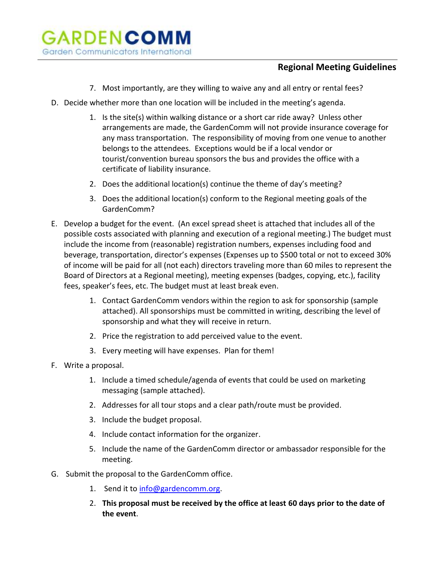- 7. Most importantly, are they willing to waive any and all entry or rental fees?
- D. Decide whether more than one location will be included in the meeting's agenda.
	- 1. Is the site(s) within walking distance or a short car ride away? Unless other arrangements are made, the GardenComm will not provide insurance coverage for any mass transportation. The responsibility of moving from one venue to another belongs to the attendees. Exceptions would be if a local vendor or tourist/convention bureau sponsors the bus and provides the office with a certificate of liability insurance.
	- 2. Does the additional location(s) continue the theme of day's meeting?
	- 3. Does the additional location(s) conform to the Regional meeting goals of the GardenComm?
- E. Develop a budget for the event. (An excel spread sheet is attached that includes all of the possible costs associated with planning and execution of a regional meeting.) The budget must include the income from (reasonable) registration numbers, expenses including food and beverage, transportation, director's expenses (Expenses up to \$500 total or not to exceed 30% of income will be paid for all (not each) directors traveling more than 60 miles to represent the Board of Directors at a Regional meeting), meeting expenses (badges, copying, etc.), facility fees, speaker's fees, etc. The budget must at least break even.
	- 1. Contact GardenComm vendors within the region to ask for sponsorship (sample attached). All sponsorships must be committed in writing, describing the level of sponsorship and what they will receive in return.
	- 2. Price the registration to add perceived value to the event.
	- 3. Every meeting will have expenses. Plan for them!
- F. Write a proposal.
	- 1. Include a timed schedule/agenda of events that could be used on marketing messaging (sample attached).
	- 2. Addresses for all tour stops and a clear path/route must be provided.
	- 3. Include the budget proposal.
	- 4. Include contact information for the organizer.
	- 5. Include the name of the GardenComm director or ambassador responsible for the meeting.
- G. Submit the proposal to the GardenComm office.
	- 1. Send it to [info@gardencomm.org.](mailto:info@gardencomm.org?subject=Regional%20Meeting%20Request)
	- 2. **This proposal must be received by the office at least 60 days prior to the date of the event**.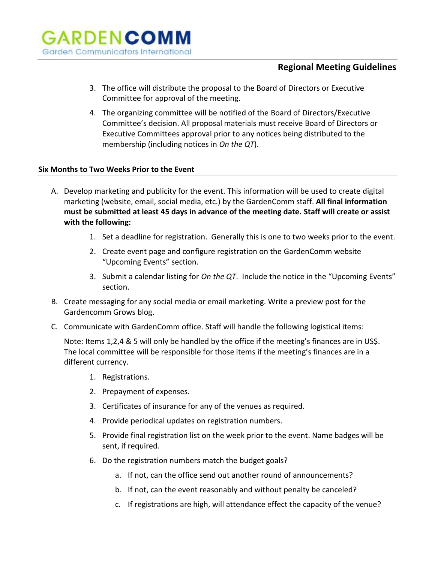- 3. The office will distribute the proposal to the Board of Directors or Executive Committee for approval of the meeting.
- 4. The organizing committee will be notified of the Board of Directors/Executive Committee's decision. All proposal materials must receive Board of Directors or Executive Committees approval prior to any notices being distributed to the membership (including notices in *On the QT*).

#### **Six Months to Two Weeks Prior to the Event**

- A. Develop marketing and publicity for the event. This information will be used to create digital marketing (website, email, social media, etc.) by the GardenComm staff. **All final information must be submitted at least 45 days in advance of the meeting date. Staff will create or assist with the following:**
	- 1. Set a deadline for registration. Generally this is one to two weeks prior to the event.
	- 2. Create event page and configure registration on the GardenComm website "Upcoming Events" section.
	- 3. Submit a calendar listing for *On the QT*. Include the notice in the "Upcoming Events" section.
- B. Create messaging for any social media or email marketing. Write a preview post for the Gardencomm Grows blog.
- C. Communicate with GardenComm office. Staff will handle the following logistical items:

Note: Items 1,2,4 & 5 will only be handled by the office if the meeting's finances are in US\$. The local committee will be responsible for those items if the meeting's finances are in a different currency.

- 1. Registrations.
- 2. Prepayment of expenses.
- 3. Certificates of insurance for any of the venues as required.
- 4. Provide periodical updates on registration numbers.
- 5. Provide final registration list on the week prior to the event. Name badges will be sent, if required.
- 6. Do the registration numbers match the budget goals?
	- a. If not, can the office send out another round of announcements?
	- b. If not, can the event reasonably and without penalty be canceled?
	- c. If registrations are high, will attendance effect the capacity of the venue?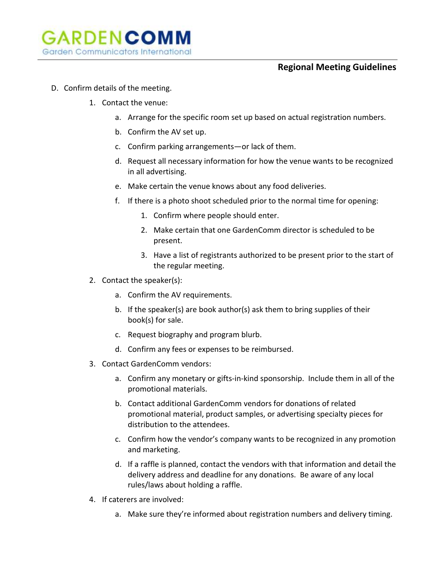- D. Confirm details of the meeting.
	- 1. Contact the venue:
		- a. Arrange for the specific room set up based on actual registration numbers.
		- b. Confirm the AV set up.
		- c. Confirm parking arrangements—or lack of them.
		- d. Request all necessary information for how the venue wants to be recognized in all advertising.
		- e. Make certain the venue knows about any food deliveries.
		- f. If there is a photo shoot scheduled prior to the normal time for opening:
			- 1. Confirm where people should enter.
			- 2. Make certain that one GardenComm director is scheduled to be present.
			- 3. Have a list of registrants authorized to be present prior to the start of the regular meeting.
	- 2. Contact the speaker(s):
		- a. Confirm the AV requirements.
		- b. If the speaker(s) are book author(s) ask them to bring supplies of their book(s) for sale.
		- c. Request biography and program blurb.
		- d. Confirm any fees or expenses to be reimbursed.
	- 3. Contact GardenComm vendors:
		- a. Confirm any monetary or gifts-in-kind sponsorship. Include them in all of the promotional materials.
		- b. Contact additional GardenComm vendors for donations of related promotional material, product samples, or advertising specialty pieces for distribution to the attendees.
		- c. Confirm how the vendor's company wants to be recognized in any promotion and marketing.
		- d. If a raffle is planned, contact the vendors with that information and detail the delivery address and deadline for any donations. Be aware of any local rules/laws about holding a raffle.
	- 4. If caterers are involved:
		- a. Make sure they're informed about registration numbers and delivery timing.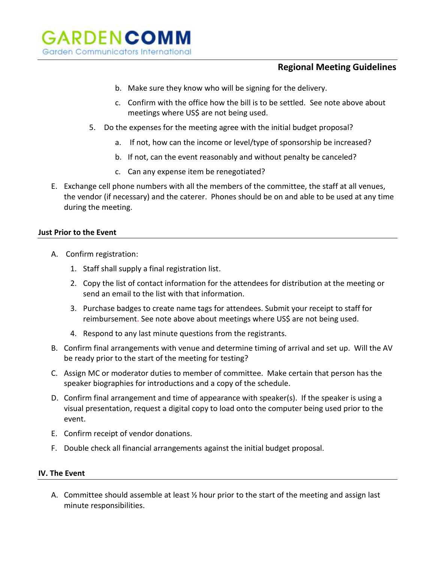- b. Make sure they know who will be signing for the delivery.
- c. Confirm with the office how the bill is to be settled. See note above about meetings where US\$ are not being used.
- 5. Do the expenses for the meeting agree with the initial budget proposal?
	- a. If not, how can the income or level/type of sponsorship be increased?
	- b. If not, can the event reasonably and without penalty be canceled?
	- c. Can any expense item be renegotiated?
- E. Exchange cell phone numbers with all the members of the committee, the staff at all venues, the vendor (if necessary) and the caterer. Phones should be on and able to be used at any time during the meeting.

#### **Just Prior to the Event**

- A. Confirm registration:
	- 1. Staff shall supply a final registration list.
	- 2. Copy the list of contact information for the attendees for distribution at the meeting or send an email to the list with that information.
	- 3. Purchase badges to create name tags for attendees. Submit your receipt to staff for reimbursement. See note above about meetings where US\$ are not being used.
	- 4. Respond to any last minute questions from the registrants.
- B. Confirm final arrangements with venue and determine timing of arrival and set up. Will the AV be ready prior to the start of the meeting for testing?
- C. Assign MC or moderator duties to member of committee. Make certain that person has the speaker biographies for introductions and a copy of the schedule.
- D. Confirm final arrangement and time of appearance with speaker(s). If the speaker is using a visual presentation, request a digital copy to load onto the computer being used prior to the event.
- E. Confirm receipt of vendor donations.
- F. Double check all financial arrangements against the initial budget proposal.

#### **IV. The Event**

A. Committee should assemble at least  $\frac{1}{2}$  hour prior to the start of the meeting and assign last minute responsibilities.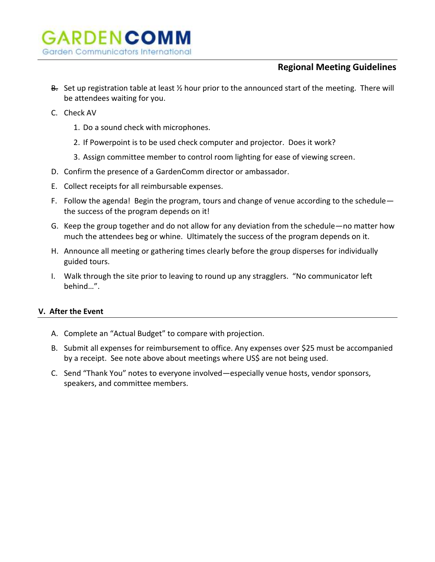- $\overline{B}$ . Set up registration table at least  $\frac{1}{2}$  hour prior to the announced start of the meeting. There will be attendees waiting for you.
- C. Check AV
	- 1. Do a sound check with microphones.
	- 2. If Powerpoint is to be used check computer and projector. Does it work?
	- 3. Assign committee member to control room lighting for ease of viewing screen.
- D. Confirm the presence of a GardenComm director or ambassador.
- E. Collect receipts for all reimbursable expenses.
- F. Follow the agenda! Begin the program, tours and change of venue according to the schedule the success of the program depends on it!
- G. Keep the group together and do not allow for any deviation from the schedule—no matter how much the attendees beg or whine. Ultimately the success of the program depends on it.
- H. Announce all meeting or gathering times clearly before the group disperses for individually guided tours.
- I. Walk through the site prior to leaving to round up any stragglers. "No communicator left behind…".

#### **V. After the Event**

- A. Complete an "Actual Budget" to compare with projection.
- B. Submit all expenses for reimbursement to office. Any expenses over \$25 must be accompanied by a receipt. See note above about meetings where US\$ are not being used.
- C. Send "Thank You" notes to everyone involved—especially venue hosts, vendor sponsors, speakers, and committee members.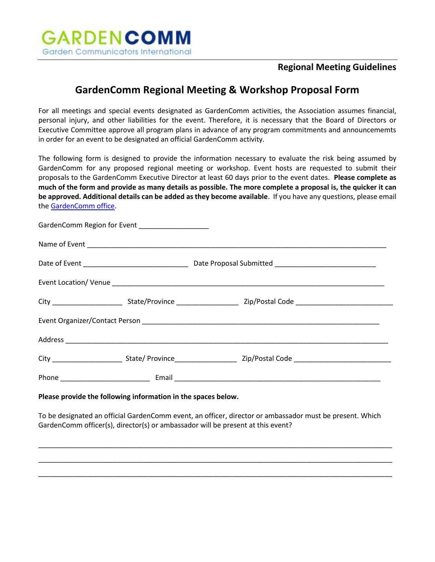

# **GardenComm Regional Meeting & Workshop Proposal Form**

For all meetings and special events designated as GardenComm activities, the Association assumes financial, personal injury, and other liabilities for the event. Therefore, it is necessary that the Board of Directors or Executive Committee approve all program plans in advance of any program commitments and announcememts in order for an event to be designated an official GardenComm activity.

The following form is designed to provide the information necessary to evaluate the risk being assumed by GardenComm for any proposed regional meeting or workshop. Event hosts are requested to submit their proposals to the GardenComm Executive Director at least 60 days prior to the event dates. **Please complete as much of the form and provide as many details as possible. The more complete a proposal is, the quicker it can be approved. Additional details can be added as they become available**. If you have any questions, please email the [GardenComm office.](mailto:info@gardencomm.org?subject=Regional%20Meeting%20Request)

| GardenComm Region for Event ____________________ |  |
|--------------------------------------------------|--|
|                                                  |  |
|                                                  |  |
|                                                  |  |
|                                                  |  |
|                                                  |  |
|                                                  |  |
|                                                  |  |
|                                                  |  |

#### **Please provide the following information in the spaces below.**

To be designated an official GardenComm event, an officer, director or ambassador must be present. Which GardenComm officer(s), director(s) or ambassador will be present at this event?

\_\_\_\_\_\_\_\_\_\_\_\_\_\_\_\_\_\_\_\_\_\_\_\_\_\_\_\_\_\_\_\_\_\_\_\_\_\_\_\_\_\_\_\_\_\_\_\_\_\_\_\_\_\_\_\_\_\_\_\_\_\_\_\_\_\_\_\_\_\_\_\_\_\_\_\_\_\_\_\_\_\_\_\_\_\_\_\_\_\_\_

\_\_\_\_\_\_\_\_\_\_\_\_\_\_\_\_\_\_\_\_\_\_\_\_\_\_\_\_\_\_\_\_\_\_\_\_\_\_\_\_\_\_\_\_\_\_\_\_\_\_\_\_\_\_\_\_\_\_\_\_\_\_\_\_\_\_\_\_\_\_\_\_\_\_\_\_\_\_\_\_\_\_\_\_\_\_\_\_\_\_\_

\_\_\_\_\_\_\_\_\_\_\_\_\_\_\_\_\_\_\_\_\_\_\_\_\_\_\_\_\_\_\_\_\_\_\_\_\_\_\_\_\_\_\_\_\_\_\_\_\_\_\_\_\_\_\_\_\_\_\_\_\_\_\_\_\_\_\_\_\_\_\_\_\_\_\_\_\_\_\_\_\_\_\_\_\_\_\_\_\_\_\_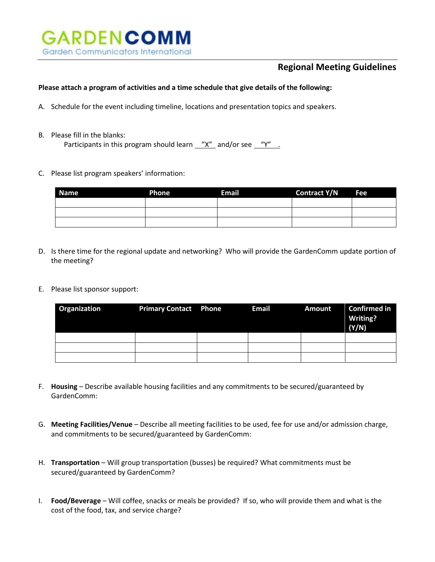

#### **Please attach a program of activities and a time schedule that give details of the following:**

- A. Schedule for the event including timeline, locations and presentation topics and speakers.
- B. Please fill in the blanks: Participants in this program should learn  $\frac{y}{x''}$  and/or see  $\frac{y''}{x}$ .
- C. Please list program speakers' information:

| <b>Name</b> | Phone | <b>Email</b> | <b>Contract Y/N</b> Fee |  |
|-------------|-------|--------------|-------------------------|--|
|             |       |              |                         |  |
|             |       |              |                         |  |
|             |       |              |                         |  |

- D. Is there time for the regional update and networking? Who will provide the GardenComm update portion of the meeting?
- E. Please list sponsor support:

| Organization | <b>Primary Contact Phone</b> | Email | Amount | <b>Confirmed in</b><br>Writing?<br>(Y/N) |
|--------------|------------------------------|-------|--------|------------------------------------------|
|              |                              |       |        |                                          |
|              |                              |       |        |                                          |
|              |                              |       |        |                                          |

- F. **Housing** Describe available housing facilities and any commitments to be secured/guaranteed by GardenComm:
- G. **Meeting Facilities/Venue** Describe all meeting facilities to be used, fee for use and/or admission charge, and commitments to be secured/guaranteed by GardenComm:
- H. **Transportation** Will group transportation (busses) be required? What commitments must be secured/guaranteed by GardenComm?
- I. **Food/Beverage** Will coffee, snacks or meals be provided? If so, who will provide them and what is the cost of the food, tax, and service charge?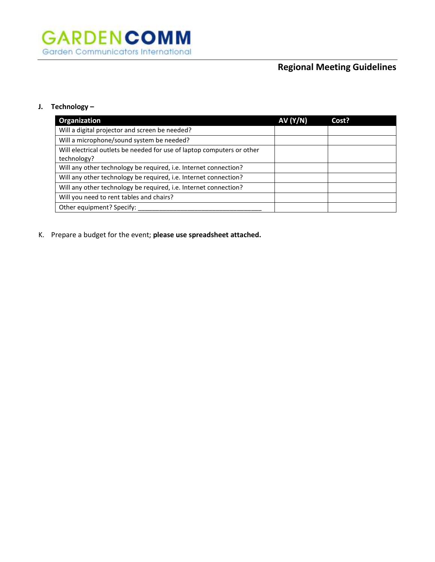#### **J. Technology –**

| Organization                                                           | AV (Y/N) | Cost? |
|------------------------------------------------------------------------|----------|-------|
| Will a digital projector and screen be needed?                         |          |       |
| Will a microphone/sound system be needed?                              |          |       |
| Will electrical outlets be needed for use of laptop computers or other |          |       |
| technology?                                                            |          |       |
| Will any other technology be required, i.e. Internet connection?       |          |       |
| Will any other technology be required, i.e. Internet connection?       |          |       |
| Will any other technology be required, i.e. Internet connection?       |          |       |
| Will you need to rent tables and chairs?                               |          |       |
| Other equipment? Specify:                                              |          |       |

K. Prepare a budget for the event; **please use spreadsheet attached.**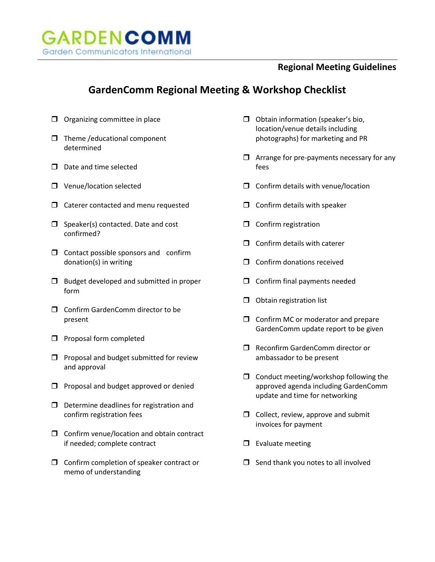

# **GardenComm Regional Meeting & Workshop Checklist**

- $\Box$  Organizing committee in place
- $\Box$  Theme /educational component determined
- $\Box$  Date and time selected
- **D** Venue/location selected
- $\Box$  Caterer contacted and menu requested
- $\Box$  Speaker(s) contacted. Date and cost confirmed?
- $\Box$  Contact possible sponsors and confirm donation(s) in writing
- $\Box$  Budget developed and submitted in proper form
- $\Box$  Confirm GardenComm director to be present
- $\Box$  Proposal form completed
- $\Box$  Proposal and budget submitted for review and approval
- $\Box$  Proposal and budget approved or denied
- $\Box$  Determine deadlines for registration and confirm registration fees
- $\Box$  Confirm venue/location and obtain contract if needed; complete contract
- $\Box$  Confirm completion of speaker contract or memo of understanding
- $\Box$  Obtain information (speaker's bio, location/venue details including photographs) for marketing and PR
- $\Box$  Arrange for pre-payments necessary for any fees
- $\Box$  Confirm details with venue/location
- $\Box$  Confirm details with speaker
- $\Box$  Confirm registration
- $\Box$  Confirm details with caterer
- $\Box$  Confirm donations received
- $\Box$  Confirm final payments needed
- $\Box$  Obtain registration list
- $\Box$  Confirm MC or moderator and prepare GardenComm update report to be given
- Reconfirm GardenComm director or ambassador to be present
- $\Box$  Conduct meeting/workshop following the approved agenda including GardenComm update and time for networking
- $\Box$  Collect, review, approve and submit invoices for payment
- $\Box$  Evaluate meeting
- $\Box$  Send thank you notes to all involved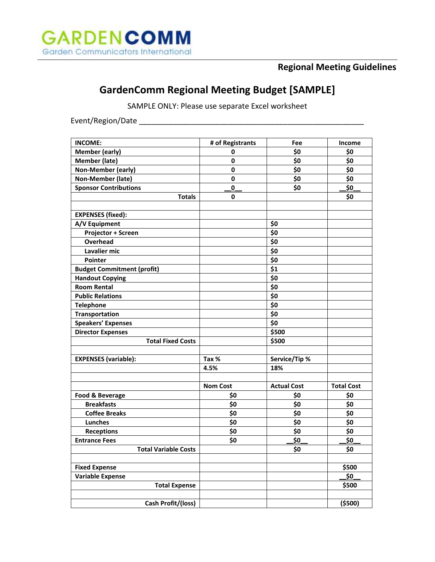

# **GardenComm Regional Meeting Budget [SAMPLE]**

SAMPLE ONLY: Please use separate Excel worksheet

Event/Region/Date \_\_\_\_\_\_\_\_\_\_\_\_\_\_\_\_\_\_\_\_\_\_\_\_\_\_\_\_\_\_\_\_\_\_\_\_\_\_\_\_\_\_\_\_\_\_\_\_\_\_\_\_\_

| <b>INCOME:</b>                               | # of Registrants | Fee                | Income            |
|----------------------------------------------|------------------|--------------------|-------------------|
| <b>Member (early)</b>                        | $\mathbf 0$      | \$0                | \$0               |
| <b>Member (late)</b>                         | $\mathbf 0$      | \$0                | \$0               |
| Non-Member (early)                           | $\bf{0}$         | \$0                | \$0               |
| <b>Non-Member (late)</b>                     | $\bf{0}$         | \$0                | \$0               |
| <b>Sponsor Contributions</b>                 | $\pmb{0}$        | \$0                | \$0               |
| <b>Totals</b>                                | 0                |                    | \$0               |
| <b>EXPENSES (fixed):</b>                     |                  |                    |                   |
| A/V Equipment                                |                  | \$0                |                   |
| <b>Projector + Screen</b>                    |                  | \$0                |                   |
| Overhead                                     |                  | \$0                |                   |
| Lavalier mic                                 |                  | \$0                |                   |
|                                              |                  | \$0                |                   |
| Pointer                                      |                  | \$1                |                   |
| <b>Budget Commitment (profit)</b>            |                  | \$0                |                   |
| <b>Handout Copying</b><br><b>Room Rental</b> |                  | \$0                |                   |
| <b>Public Relations</b>                      |                  | \$0                |                   |
| <b>Telephone</b>                             |                  | \$0                |                   |
|                                              |                  |                    |                   |
| <b>Transportation</b>                        |                  | \$0                |                   |
| Speakers' Expenses                           |                  | \$0                |                   |
| <b>Director Expenses</b>                     |                  | \$500              |                   |
| <b>Total Fixed Costs</b>                     |                  | \$500              |                   |
| <b>EXPENSES (variable):</b>                  | Tax %            | Service/Tip %      |                   |
|                                              | 4.5%             | 18%                |                   |
|                                              |                  |                    |                   |
|                                              | <b>Nom Cost</b>  | <b>Actual Cost</b> | <b>Total Cost</b> |
| Food & Beverage                              | \$0              | \$0                | \$0               |
| <b>Breakfasts</b>                            | \$0              | \$0                | \$0               |
| <b>Coffee Breaks</b>                         | \$0              | \$0                | \$0               |
| <b>Lunches</b>                               | \$0              | \$0                | \$0               |
| <b>Receptions</b>                            | \$0              | \$0                | \$0               |
| <b>Entrance Fees</b>                         | \$0              | \$0                | \$0               |
| <b>Total Variable Costs</b>                  |                  | \$0                | \$0               |
|                                              |                  |                    |                   |
| <b>Fixed Expense</b>                         |                  |                    | \$500             |
| <b>Variable Expense</b>                      |                  |                    | \$0               |
| <b>Total Expense</b>                         |                  |                    | \$500             |
|                                              |                  |                    |                   |
| Cash Profit/(loss)                           |                  |                    | ( \$500)          |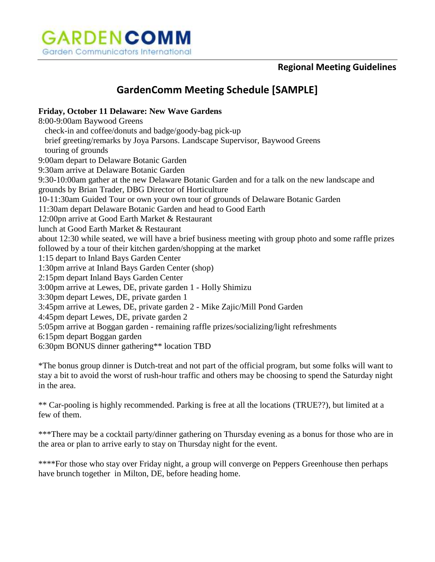# **GardenComm Meeting Schedule [SAMPLE]**

#### **Friday, October 11 Delaware: New Wave Gardens** 8:00-9:00am Baywood Greens check-in and coffee/donuts and badge/goody-bag pick-up brief greeting/remarks by Joya Parsons. Landscape Supervisor, Baywood Greens touring of grounds 9:00am depart to Delaware Botanic Garden 9:30am arrive at Delaware Botanic Garden 9:30-10:00am gather at the new Delaware Botanic Garden and for a talk on the new landscape and grounds by Brian Trader, DBG Director of Horticulture 10-11:30am Guided Tour or own your own tour of grounds of Delaware Botanic Garden 11:30am depart Delaware Botanic Garden and head to Good Earth 12:00pn arrive at Good Earth Market & Restaurant lunch at Good Earth Market & Restaurant about 12:30 while seated, we will have a brief business meeting with group photo and some raffle prizes followed by a tour of their kitchen garden/shopping at the market 1:15 depart to Inland Bays Garden Center 1:30pm arrive at Inland Bays Garden Center (shop) 2:15pm depart Inland Bays Garden Center 3:00pm arrive at Lewes, DE, private garden 1 - Holly Shimizu 3:30pm depart Lewes, DE, private garden 1 3:45pm arrive at Lewes, DE, private garden 2 - Mike Zajic/Mill Pond Garden 4:45pm depart Lewes, DE, private garden 2 5:05pm arrive at Boggan garden - remaining raffle prizes/socializing/light refreshments 6:15pm depart Boggan garden 6:30pm BONUS dinner gathering\*\* location TBD

\*The bonus group dinner is Dutch-treat and not part of the official program, but some folks will want to stay a bit to avoid the worst of rush-hour traffic and others may be choosing to spend the Saturday night in the area.

\*\* Car-pooling is highly recommended. Parking is free at all the locations (TRUE??), but limited at a few of them.

\*\*\*There may be a cocktail party/dinner gathering on Thursday evening as a bonus for those who are in the area or plan to arrive early to stay on Thursday night for the event.

\*\*\*\*For those who stay over Friday night, a group will converge on Peppers Greenhouse then perhaps have brunch together in Milton, DE, before heading home.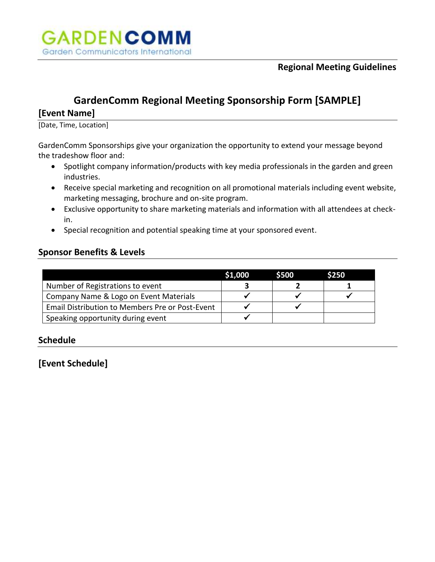

# **GardenComm Regional Meeting Sponsorship Form [SAMPLE]**

#### **[Event Name]**

[Date, Time, Location]

GardenComm Sponsorships give your organization the opportunity to extend your message beyond the tradeshow floor and:

- Spotlight company information/products with key media professionals in the garden and green industries.
- Receive special marketing and recognition on all promotional materials including event website, marketing messaging, brochure and on-site program.
- Exclusive opportunity to share marketing materials and information with all attendees at checkin.
- Special recognition and potential speaking time at your sponsored event.

#### **Sponsor Benefits & Levels**

|                                                 | \$1.000 | \$500 | <b>S250</b> |
|-------------------------------------------------|---------|-------|-------------|
| Number of Registrations to event                |         |       |             |
| Company Name & Logo on Event Materials          |         |       |             |
| Email Distribution to Members Pre or Post-Event |         |       |             |
| Speaking opportunity during event               |         |       |             |

#### **Schedule**

## **[Event Schedule]**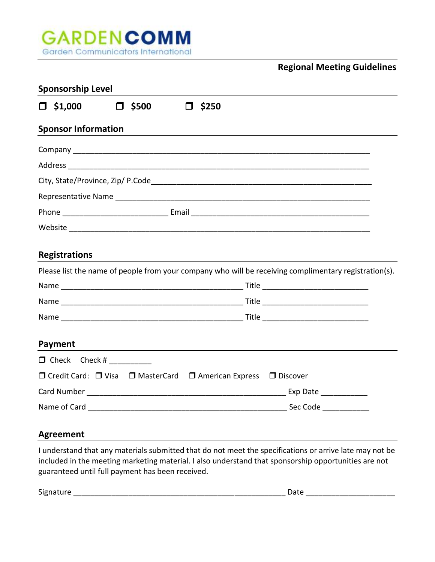

| <b>Sponsorship Level</b>   |                 |                                                                                                                 |                                                                                                       |
|----------------------------|-----------------|-----------------------------------------------------------------------------------------------------------------|-------------------------------------------------------------------------------------------------------|
| \$1,000<br>0               | \$500<br>$\Box$ | \$250<br>$\Box$                                                                                                 |                                                                                                       |
| <b>Sponsor Information</b> |                 |                                                                                                                 |                                                                                                       |
|                            |                 |                                                                                                                 |                                                                                                       |
|                            |                 |                                                                                                                 |                                                                                                       |
|                            |                 |                                                                                                                 |                                                                                                       |
|                            |                 |                                                                                                                 |                                                                                                       |
|                            |                 |                                                                                                                 |                                                                                                       |
|                            |                 |                                                                                                                 |                                                                                                       |
| <b>Registrations</b>       |                 |                                                                                                                 | Please list the name of people from your company who will be receiving complimentary registration(s). |
|                            |                 |                                                                                                                 |                                                                                                       |
|                            |                 |                                                                                                                 |                                                                                                       |
| Payment                    |                 | the contract of the contract of the contract of the contract of the contract of the contract of the contract of |                                                                                                       |
| $\Box$ Check Check #       |                 |                                                                                                                 |                                                                                                       |
|                            |                 | $\Box$ Credit Card: $\Box$ Visa $\Box$ MasterCard $\Box$ American Express $\Box$ Discover                       |                                                                                                       |
|                            |                 |                                                                                                                 |                                                                                                       |
|                            |                 |                                                                                                                 |                                                                                                       |
|                            |                 |                                                                                                                 |                                                                                                       |

## **Agreement**

I understand that any materials submitted that do not meet the specifications or arrive late may not be included in the meeting marketing material. I also understand that sponsorship opportunities are not guaranteed until full payment has been received.

Signature \_\_\_\_\_\_\_\_\_\_\_\_\_\_\_\_\_\_\_\_\_\_\_\_\_\_\_\_\_\_\_\_\_\_\_\_\_\_\_\_\_\_\_\_\_\_\_\_\_\_ Date \_\_\_\_\_\_\_\_\_\_\_\_\_\_\_\_\_\_\_\_\_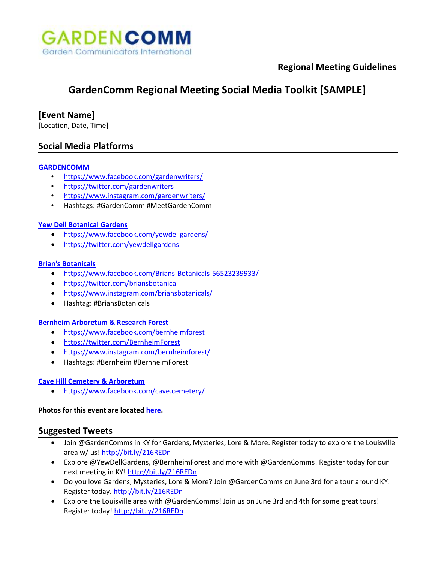

# **GardenComm Regional Meeting Social Media Toolkit [SAMPLE]**

#### **[Event Name]**

[Location, Date, Time]

#### **Social Media Platforms**

#### **[GARDENCOMM](http://www.gardenwriters.org/)**

- <https://www.facebook.com/gardenwriters/>
- <https://twitter.com/gardenwriters>
- <https://www.instagram.com/gardenwriters/>
- Hashtags: #GardenComm #MeetGardenComm

#### **[Yew Dell Botanical Gardens](http://www.yewdellgardens.org/main-page.html)**

- <https://www.facebook.com/yewdellgardens/>
- <https://twitter.com/yewdellgardens>

#### **[Brian's Botanicals](http://briansbotanicals.us/)**

- <https://www.facebook.com/Brians-Botanicals-56523239933/>
- <https://twitter.com/briansbotanical>
- <https://www.instagram.com/briansbotanicals/>
- Hashtag: #BriansBotanicals

#### **[Bernheim Arboretum & Research Forest](http://bernheim.org/)**

- <https://www.facebook.com/bernheimforest>
- <https://twitter.com/BernheimForest>
- <https://www.instagram.com/bernheimforest/>
- Hashtags: #Bernheim #BernheimForest

#### **[Cave Hill Cemetery & Arboretum](http://www.cavehillcemetery.com/index.php)**

<https://www.facebook.com/cave.cemetery/>

#### **Photos for this event are locate[d here.](https://www.dropbox.com/sh/hpnqt4vz3dw1om5/AABqs2Uj18F5W2wxDDiJQTGda?dl=0)**

#### **Suggested Tweets**

- Join @GardenComms in KY for Gardens, Mysteries, Lore & More. Register today to explore the Louisville area w/ us!<http://bit.ly/216REDn>
- Explore @YewDellGardens, @BernheimForest and more with @GardenComms! Register today for our next meeting in KY[! http://bit.ly/216REDn](http://bit.ly/216REDn)
- Do you love Gardens, Mysteries, Lore & More? Join @GardenComms on June 3rd for a tour around KY. Register today[. http://bit.ly/216REDn](http://bit.ly/216REDn)
- Explore the Louisville area with @GardenComms! Join us on June 3rd and 4th for some great tours! Register today[! http://bit.ly/216REDn](http://bit.ly/216REDn)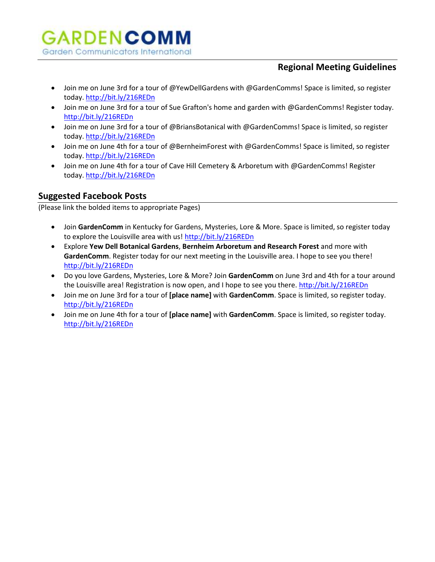- Join me on June 3rd for a tour of @YewDellGardens with @GardenComms! Space is limited, so register today.<http://bit.ly/216REDn>
- Join me on June 3rd for a tour of Sue Grafton's home and garden with @GardenComms! Register today. <http://bit.ly/216REDn>
- Join me on June 3rd for a tour of @BriansBotanical with @GardenComms! Space is limited, so register today.<http://bit.ly/216REDn>
- Join me on June 4th for a tour of @BernheimForest with @GardenComms! Space is limited, so register today.<http://bit.ly/216REDn>
- Join me on June 4th for a tour of Cave Hill Cemetery & Arboretum with @GardenComms! Register today.<http://bit.ly/216REDn>

# **Suggested Facebook Posts**

(Please link the bolded items to appropriate Pages)

- Join **GardenComm** in Kentucky for Gardens, Mysteries, Lore & More. Space is limited, so register today to explore the Louisville area with us!<http://bit.ly/216REDn>
- Explore **Yew Dell Botanical Gardens**, **Bernheim Arboretum and Research Forest** and more with **GardenComm**. Register today for our next meeting in the Louisville area. I hope to see you there! <http://bit.ly/216REDn>
- Do you love Gardens, Mysteries, Lore & More? Join **GardenComm** on June 3rd and 4th for a tour around the Louisville area! Registration is now open, and I hope to see you there.<http://bit.ly/216REDn>
- Join me on June 3rd for a tour of **[place name]** with **GardenComm**. Space is limited, so register today. <http://bit.ly/216REDn>
- Join me on June 4th for a tour of **[place name]** with **GardenComm**. Space is limited, so register today. <http://bit.ly/216REDn>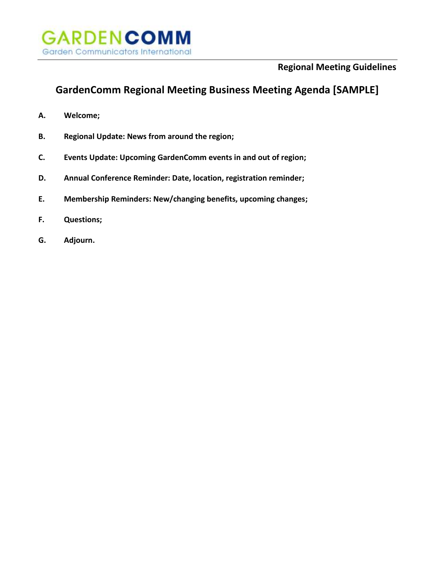# **GardenComm Regional Meeting Business Meeting Agenda [SAMPLE]**

- **A. Welcome;**
- **B. Regional Update: News from around the region;**
- **C. Events Update: Upcoming GardenComm events in and out of region;**
- **D. Annual Conference Reminder: Date, location, registration reminder;**
- **E. Membership Reminders: New/changing benefits, upcoming changes;**
- **F. Questions;**
- **G. Adjourn.**